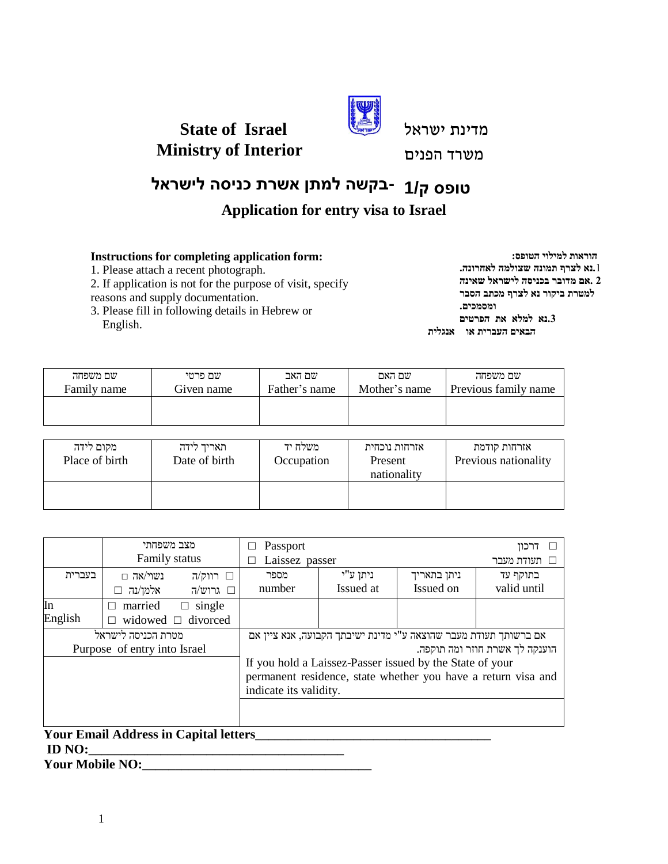

מדינת ישראל

**Ministry of Interior**

**State of Israel**

משרד הפנים

# **-בקשה למתן אשרת כניסה לישראל טופס ק1/**

## **Application for entry visa to Israel**

### **Instructions for completing application form:**

1. Please attach a recent photograph.

2. If application is not for the purpose of visit, specify reasons and supply documentation.

3. Please fill in following details in Hebrew or English.

**הוראות למילוי הטופס: .**1**נא לצרף תמונה שצולמה לאחרונה. 2 .אם מדובר בכניסה לישראל שאינה למטרת ביקור נא לצרף מכתב הסבר ומסמכים. .3נא למלא את הפרטים הבאים העברית או אנגלית**

| שם משפחה    | שם פרטי    | שם האב        | שם האם        | שם משפחה             |
|-------------|------------|---------------|---------------|----------------------|
| Family name | Given name | Father's name | Mother's name | Previous family name |
|             |            |               |               |                      |

| מקום לידה<br>Place of birth | תאריד לידה<br>Date of birth | משלח יד<br>Occupation | אזרחות נוכחית<br>Present<br>nationality | אזרחות קודמת<br>Previous nationality |
|-----------------------------|-----------------------------|-----------------------|-----------------------------------------|--------------------------------------|
|                             |                             |                       |                                         |                                      |

|         | מצב משפחתי<br>Family status  |                                                               | Passport<br>דרכוו<br>Laissez passer                              |           |             |             |  |
|---------|------------------------------|---------------------------------------------------------------|------------------------------------------------------------------|-----------|-------------|-------------|--|
|         |                              |                                                               |                                                                  |           |             | תעודת מעבר  |  |
| בעברית  | נשוי/אה $\Box$               | $\Box$ רווק/ה                                                 | מספר                                                             | ניתן ע"י  | ניתן בתאריך | בתוקף עד    |  |
|         | אלמן/נה                      | רוש/ה $\square$                                               | number                                                           | Issued at | Issued on   | valid until |  |
| In      | married<br>П                 | single<br>$\Box$                                              |                                                                  |           |             |             |  |
| English |                              | widowed $\Box$ divorced                                       |                                                                  |           |             |             |  |
|         | מטרת הכניסה לישראל           |                                                               | אם ברשותך תעודת מעבר שהוצאה ע"י מדינת ישיבתך הקבועה, אנא ציין אם |           |             |             |  |
|         | Purpose of entry into Israel |                                                               | הוענקה לך אשרת חוזר ומה תוקפה.                                   |           |             |             |  |
|         |                              |                                                               | If you hold a Laissez-Passer issued by the State of your         |           |             |             |  |
|         |                              | permanent residence, state whether you have a return visa and |                                                                  |           |             |             |  |
|         |                              |                                                               | indicate its validity.                                           |           |             |             |  |
|         |                              |                                                               |                                                                  |           |             |             |  |

## **Your Email Address in Capital letters\_\_\_\_\_\_\_\_\_\_\_\_\_\_\_\_\_\_\_\_\_\_\_\_\_\_\_\_\_\_\_\_\_\_\_\_ ID NO:\_\_\_\_\_\_\_\_\_\_\_\_\_\_\_\_\_\_\_\_\_\_\_\_\_\_\_\_\_\_\_\_\_\_\_\_\_\_\_**

**Your Mobile NO:**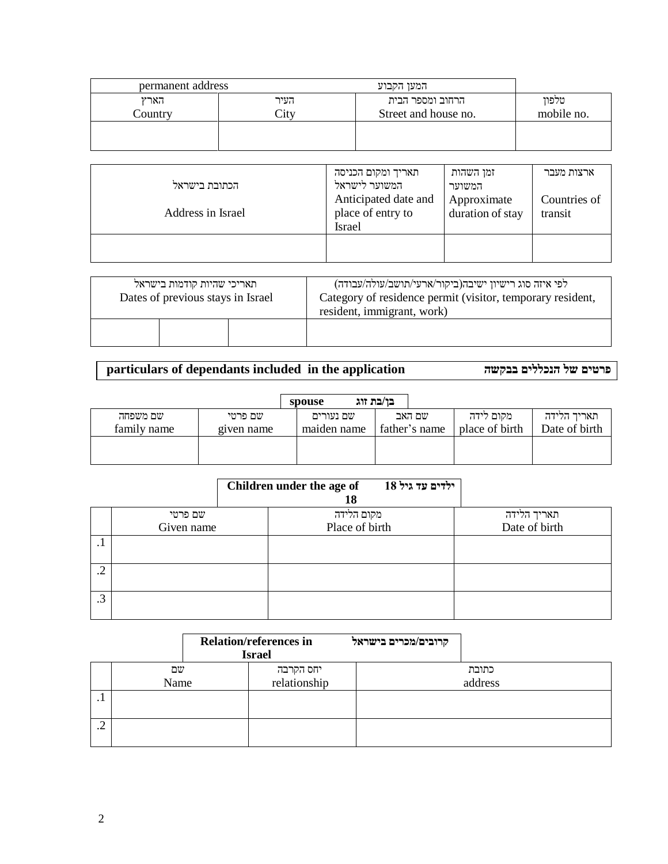| permanent address |                                               | המעו הקבוע                               |                     |
|-------------------|-----------------------------------------------|------------------------------------------|---------------------|
| הארץ<br>Country   | העיר<br>$\mathop{\rm \mathbb{C}itv}\nolimits$ | הרחוב ומספר הבית<br>Street and house no. | טלפוו<br>mobile no. |
|                   |                                               |                                          |                     |

| הכתובת בישראל<br>Address in Israel | תאריך ומקום הכניסה<br>המשוער לישראל<br>Anticipated date and<br>place of entry to<br><b>Israel</b> | זמן השהות<br>המשוער<br>Approximate<br>duration of stay | ארצות מעבר<br>Countries of<br>transit |
|------------------------------------|---------------------------------------------------------------------------------------------------|--------------------------------------------------------|---------------------------------------|
|                                    |                                                                                                   |                                                        |                                       |

| תאריכי שהיות קודמות בישראל<br>Dates of previous stays in Israel | לפי איזה סוג רישיון ישיבה(ביקור/ארעי/תושב/עולה/עבודה)<br>Category of residence permit (visitor, temporary resident,<br>resident, immigrant, work) |
|-----------------------------------------------------------------|---------------------------------------------------------------------------------------------------------------------------------------------------|
|                                                                 |                                                                                                                                                   |

**particulars of dependants included in the application בבקשה הנכללים של פרטים**

|             |            | spouse |             | בו/בת זוג     |                |               |
|-------------|------------|--------|-------------|---------------|----------------|---------------|
| שם משפחה    | שם פרטי    |        | שם נעורים   | שם האב        | מקום לידה      | תאריד הלידה   |
| family name | given name |        | maiden name | father's name | place of birth | Date of birth |
|             |            |        |             |               |                |               |
|             |            |        |             |               |                |               |

|                 |            | Children under the age of<br>18 | ילדים עד גיל 18 |               |
|-----------------|------------|---------------------------------|-----------------|---------------|
|                 | שם פרטי    | מקום הלידה                      |                 | תאריך הלידה   |
|                 | Given name | Place of birth                  |                 | Date of birth |
| . .             |            |                                 |                 |               |
| $\gamma$<br>ے . |            |                                 |                 |               |
| .3              |            |                                 |                 |               |

|     |      | <b>Relation/references in</b><br><b>Israel</b> |                           | קרובים/מכרים בישראל |         |
|-----|------|------------------------------------------------|---------------------------|---------------------|---------|
|     | שם   |                                                |                           |                     | כתובת   |
|     | Name |                                                | יחס הקרבה<br>relationship |                     | address |
| . . |      |                                                |                           |                     |         |
|     |      |                                                |                           |                     |         |
|     |      |                                                |                           |                     |         |